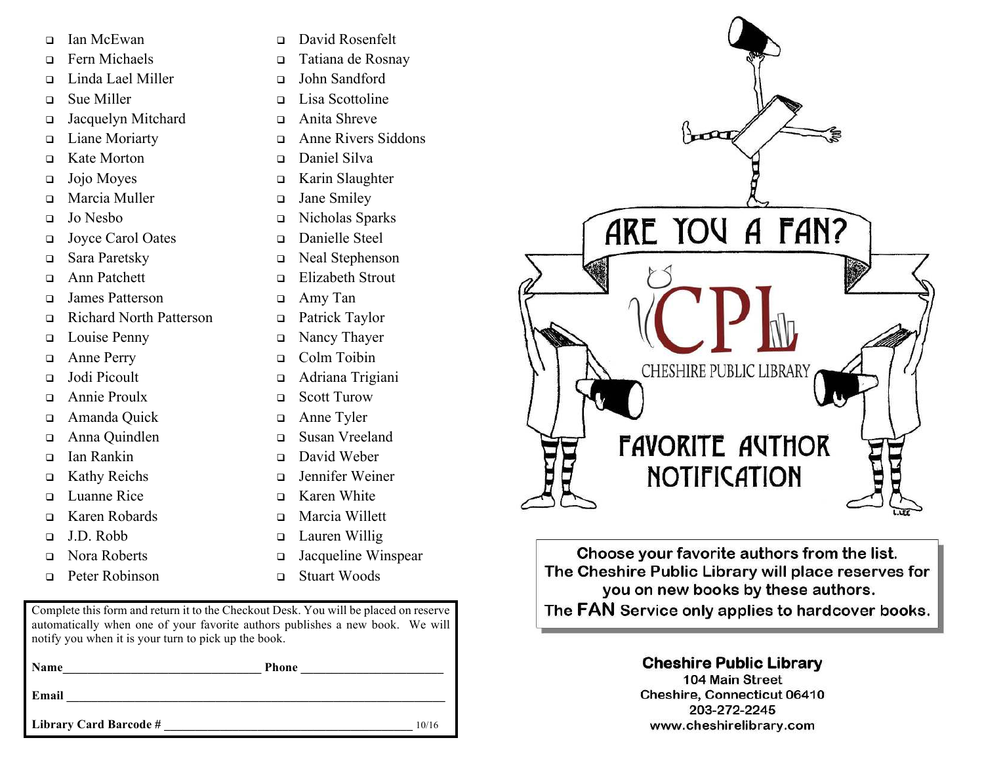- □ Ian McEwan
- <sup>q</sup> Fern Michaels
- <sup>q</sup> Linda Lael Miller
- <sup>q</sup> Sue Miller
- □ Jacquelyn Mitchard
- □ Liane Moriarty
- <sup>q</sup> Kate Morton
- $\Box$  Jojo Moyes
- <sup>q</sup> Marcia Muller
- <sup>q</sup> Jo Nesbo
- <sup>q</sup> Joyce Carol Oates
- <sup>q</sup> Sara Paretsky
- <sup>q</sup> Ann Patchett
- <sup>q</sup> James Patterson
- <sup>q</sup> Richard North Patterson
- D Louise Penny
- □ Anne Perry
- Jodi Picoult
- <sup>q</sup> Annie Proulx
- □ Amanda Quick
- <sup>q</sup> Anna Quindlen
- <sup>q</sup> Ian Rankin
- □ Kathy Reichs
- <sup>q</sup> Luanne Rice
- <sup>q</sup> Karen Robards
- <sup>q</sup> J.D. Robb
- <sup>q</sup> Nora Roberts
- p Peter Robinson
- <sup>q</sup> David Rosenfelt
- <sup>q</sup> Tatiana de Rosnay
- <sup>q</sup> John Sandford
- <sup>q</sup> Lisa Scottoline
- <sup>q</sup> Anita Shreve
- <sup>q</sup> Anne Rivers Siddons
- <sup>q</sup> Daniel Silva
- <sup>q</sup> Karin Slaughter
- □ Jane Smiley
- <sup>q</sup> Nicholas Sparks
- <sup>q</sup> Danielle Steel
- <sup>q</sup> Neal Stephenson
- <sup>q</sup> Elizabeth Strout
- <sup>q</sup> Amy Tan
- □ Patrick Taylor
- □ Nancy Thayer
- <sup>q</sup> Colm Toibin
- <sup>q</sup> Adriana Trigiani
- <sup>q</sup> Scott Turow
- <sup>q</sup> Anne Tyler
- <sup>q</sup> Susan Vreeland
- <sup>q</sup> David Weber
- <sup>q</sup> Jennifer Weiner
- <sup>q</sup> Karen White
- <sup>q</sup> Marcia Willett
- □ Lauren Willig
- <sup>q</sup> Jacqueline Winspear
- <sup>q</sup> Stuart Woods

Complete this form and return it to the Checkout Desk. You will be placed on reserve automatically when one of your favorite authors publishes a new book. We will notify you when it is your turn to pick up the book.

| <b>Name</b>            | <b>Phone</b> |       |
|------------------------|--------------|-------|
| Email                  |              |       |
| Library Card Barcode # |              | 10/16 |



Choose your favorite authors from the list. The Cheshire Public Library will place reserves for you on new books by these authors. The FAN Service only applies to hardcover books.

## **Cheshire Public Library**

104 Main Street **Cheshire, Connecticut 06410** 203-272-2245 www.cheshirelibrary.com